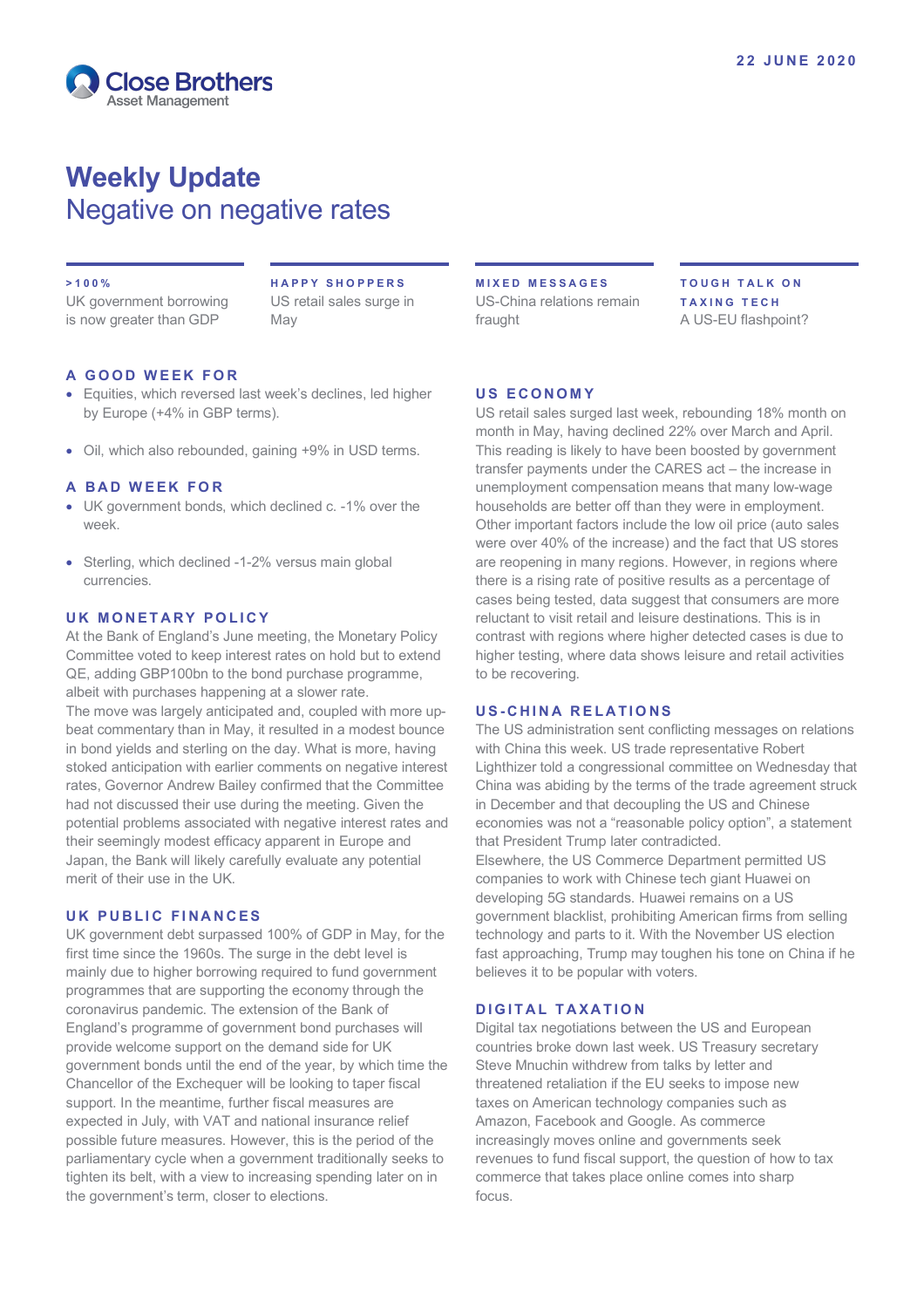

# **Weekly Update** Negative on negative rates

#### **> 100%**

UK government borrowing is now greater than GDP

**HAPPY SHOPPERS** US retail sales surge in May

## **A GOOD WEEK FOR**

- Equities, which reversed last week's declines, led higher by Europe (+4% in GBP terms).
- Oil, which also rebounded, gaining +9% in USD terms.

#### **A BAD WEEK FOR**

- UK government bonds, which declined c. -1% over the week.
- Sterling, which declined -1-2% versus main global currencies.

### **UK MONETARY POLICY**

At the Bank of England's June meeting, the Monetary Policy Committee voted to keep interest rates on hold but to extend QE, adding GBP100bn to the bond purchase programme, albeit with purchases happening at a slower rate. The move was largely anticipated and, coupled with more upbeat commentary than in May, it resulted in a modest bounce in bond yields and sterling on the day. What is more, having stoked anticipation with earlier comments on negative interest rates, Governor Andrew Bailey confirmed that the Committee had not discussed their use during the meeting. Given the potential problems associated with negative interest rates and their seemingly modest efficacy apparent in Europe and Japan, the Bank will likely carefully evaluate any potential merit of their use in the UK.

#### **UK PUBLIC FINANCES**

UK government debt surpassed 100% of GDP in May, for the first time since the 1960s. The surge in the debt level is mainly due to higher borrowing required to fund government programmes that are supporting the economy through the coronavirus pandemic. The extension of the Bank of England's programme of government bond purchases will provide welcome support on the demand side for UK government bonds until the end of the year, by which time the Chancellor of the Exchequer will be looking to taper fiscal support. In the meantime, further fiscal measures are expected in July, with VAT and national insurance relief possible future measures. However, this is the period of the parliamentary cycle when a government traditionally seeks to tighten its belt, with a view to increasing spending later on in the government's term, closer to elections.

**MIXED MESSAGES** US-China relations remain fraught

**TOUGH TALK ON TAXING TECH** A US-EU flashpoint?

#### **US ECONOMY**

US retail sales surged last week, rebounding 18% month on month in May, having declined 22% over March and April. This reading is likely to have been boosted by government transfer payments under the CARES act – the increase in unemployment compensation means that many low-wage households are better off than they were in employment. Other important factors include the low oil price (auto sales were over 40% of the increase) and the fact that US stores are reopening in many regions. However, in regions where there is a rising rate of positive results as a percentage of cases being tested, data suggest that consumers are more reluctant to visit retail and leisure destinations. This is in contrast with regions where higher detected cases is due to higher testing, where data shows leisure and retail activities to be recovering.

## **U S - CHINA RELATIONS**

The US administration sent conflicting messages on relations with China this week. US trade representative Robert Lighthizer told a congressional committee on Wednesday that China was abiding by the terms of the trade agreement struck in December and that decoupling the US and Chinese economies was not a "reasonable policy option", a statement that President Trump later contradicted. Elsewhere, the US Commerce Department permitted US companies to work with Chinese tech giant Huawei on developing 5G standards. Huawei remains on a US government blacklist, prohibiting American firms from selling technology and parts to it. With the November US election fast approaching, Trump may toughen his tone on China if he believes it to be popular with voters.

## **DIGITAL TAXATION**

Digital tax negotiations between the US and European countries broke down last week. US Treasury secretary Steve Mnuchin withdrew from talks by letter and threatened retaliation if the EU seeks to impose new taxes on American technology companies such as Amazon, Facebook and Google. As commerce increasingly moves online and governments seek revenues to fund fiscal support, the question of how to tax commerce that takes place online comes into sharp focus.